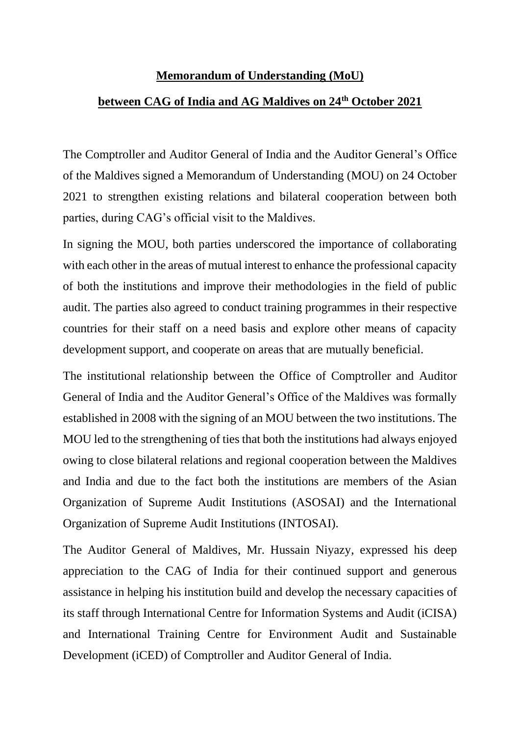## **Memorandum of Understanding (MoU)**

## **between CAG of India and AG Maldives on 24th October 2021**

The Comptroller and Auditor General of India and the Auditor General's Office of the Maldives signed a Memorandum of Understanding (MOU) on 24 October 2021 to strengthen existing relations and bilateral cooperation between both parties, during CAG's official visit to the Maldives.

In signing the MOU, both parties underscored the importance of collaborating with each other in the areas of mutual interest to enhance the professional capacity of both the institutions and improve their methodologies in the field of public audit. The parties also agreed to conduct training programmes in their respective countries for their staff on a need basis and explore other means of capacity development support, and cooperate on areas that are mutually beneficial.

The institutional relationship between the Office of Comptroller and Auditor General of India and the Auditor General's Office of the Maldives was formally established in 2008 with the signing of an MOU between the two institutions. The MOU led to the strengthening of ties that both the institutions had always enjoyed owing to close bilateral relations and regional cooperation between the Maldives and India and due to the fact both the institutions are members of the Asian Organization of Supreme Audit Institutions (ASOSAI) and the International Organization of Supreme Audit Institutions (INTOSAI).

The Auditor General of Maldives, Mr. Hussain Niyazy, expressed his deep appreciation to the CAG of India for their continued support and generous assistance in helping his institution build and develop the necessary capacities of its staff through International Centre for Information Systems and Audit (iCISA) and International Training Centre for Environment Audit and Sustainable Development (iCED) of Comptroller and Auditor General of India.